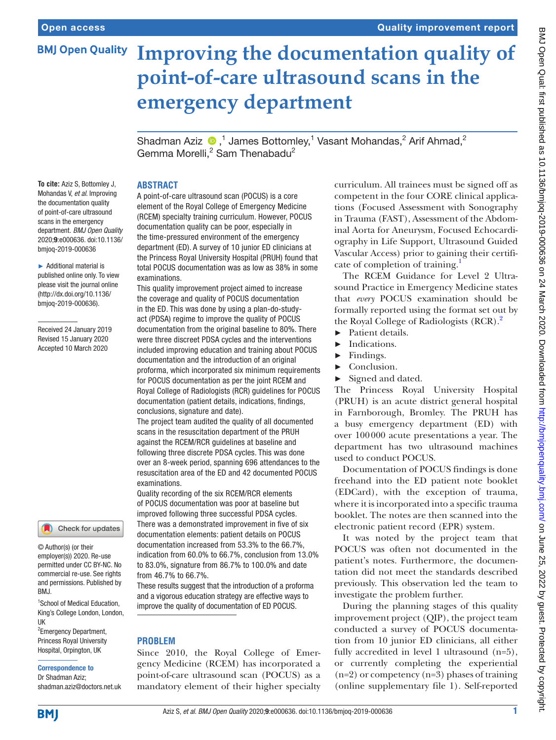# **BMJ Open Quality**

# **Improving the documentation quality of point-of-care ultrasound scans in the emergency department**

ShadmanAziz  $\bigcirc$ ,<sup>1</sup> James Bottomley,<sup>1</sup> Vasant Mohandas,<sup>2</sup> Arif Ahmad,<sup>2</sup> Gemma Morelli, $^2$  Sam Thenabadu $^2$ 

**To cite:** Aziz S, Bottomley J, Mohandas V, *et al*. Improving the documentation quality of point-of-care ultrasound scans in the emergency department. *BMJ Open Quality* 2020;9:e000636. doi:10.1136/ bmjoq-2019-000636

► Additional material is published online only. To view please visit the journal online (http://dx.doi.org/10.1136/ bmjoq-2019-000636).

Received 24 January 2019 Revised 15 January 2020 Accepted 10 March 2020



© Author(s) (or their employer(s)) 2020. Re-use permitted under CC BY-NC. No commercial re-use. See rights and permissions. Published by BMJ.

1 School of Medical Education, King's College London, London, UK

<sup>2</sup> Emergency Department, Princess Royal University Hospital, Orpington, UK

#### Correspondence to

Dr Shadman Aziz; shadman.aziz@doctors.net.uk

#### **Abstract**

A point-of-care ultrasound scan (POCUS) is a core element of the Royal College of Emergency Medicine (RCEM) specialty training curriculum. However, POCUS documentation quality can be poor, especially in the time-pressured environment of the emergency department (ED). A survey of 10 junior ED clinicians at the Princess Royal University Hospital (PRUH) found that total POCUS documentation was as low as 38% in some examinations.

This quality improvement project aimed to increase the coverage and quality of POCUS documentation in the ED. This was done by using a plan-do-studyact (PDSA) regime to improve the quality of POCUS documentation from the original baseline to 80%. There were three discreet PDSA cycles and the interventions included improving education and training about POCUS documentation and the introduction of an original proforma, which incorporated six minimum requirements for POCUS documentation as per the joint RCEM and Royal College of Radiologists (RCR) guidelines for POCUS documentation (patient details, indications, findings, conclusions, signature and date).

The project team audited the quality of all documented scans in the resuscitation department of the PRUH against the RCEM/RCR guidelines at baseline and following three discrete PDSA cycles. This was done over an 8-week period, spanning 696 attendances to the resuscitation area of the ED and 42 documented POCUS examinations.

Quality recording of the six RCEM/RCR elements of POCUS documentation was poor at baseline but improved following three successful PDSA cycles. There was a demonstrated improvement in five of six documentation elements: patient details on POCUS documentation increased from 53.3% to the 66.7%, indication from 60.0% to 66.7%, conclusion from 13.0% to 83.0%, signature from 86.7% to 100.0% and date from 46.7% to 66.7%.

These results suggest that the introduction of a proforma and a vigorous education strategy are effective ways to improve the quality of documentation of ED POCUS.

## **Problem**

Since 2010, the Royal College of Emergency Medicine (RCEM) has incorporated a point-of-care ultrasound scan (POCUS) as a mandatory element of their higher specialty

curriculum. All trainees must be signed off as competent in the four CORE clinical applications (Focused Assessment with Sonography in Trauma (FAST), Assessment of the Abdominal Aorta for Aneurysm, Focused Echocardiography in Life Support, Ultrasound Guided Vascular Access) prior to gaining their certificate of completion of training.

The RCEM Guidance for Level 2 Ultrasound Practice in Emergency Medicine states that *every* POCUS examination should be formally reported using the format set out by the Royal College of Radiologists (RCR).<sup>2</sup>

- ► Patient details.
- Indications.
- ► Findings.
- Conclusion.
- ► Signed and dated.

The Princess Royal University Hospital (PRUH) is an acute district general hospital in Farnborough, Bromley. The PRUH has a busy emergency department (ED) with over 100000 acute presentations a year. The department has two ultrasound machines used to conduct POCUS.

Documentation of POCUS findings is done freehand into the ED patient note booklet (EDCard), with the exception of trauma, where it is incorporated into a specific trauma booklet. The notes are then scanned into the electronic patient record (EPR) system.

It was noted by the project team that POCUS was often not documented in the patient's notes. Furthermore, the documentation did not meet the standards described previously. This observation led the team to investigate the problem further.

During the planning stages of this quality improvement project (QIP), the project team conducted a survey of POCUS documentation from 10 junior ED clinicians, all either fully accredited in level 1 ultrasound (n=5), or currently completing the experiential (n=2) or competency (n=3) phases of training ([online supplementary file 1\)](https://dx.doi.org/10.1136/bmjoq-2019-000636). Self-reported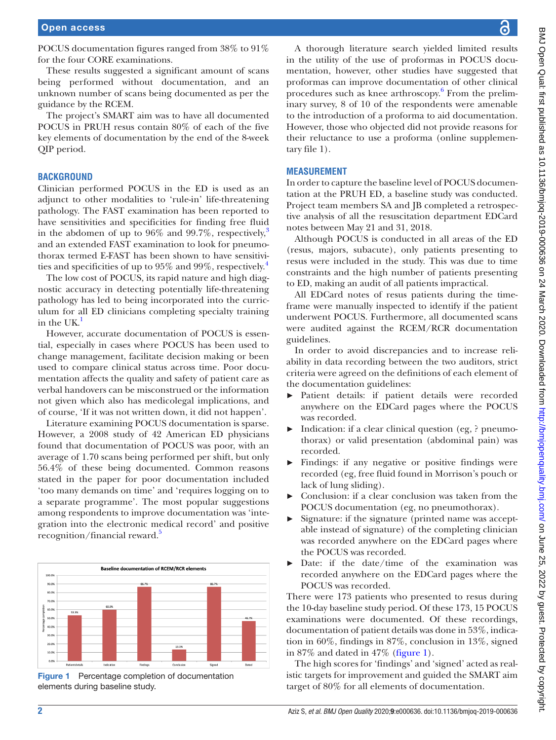POCUS documentation figures ranged from 38% to 91% for the four CORE examinations.

These results suggested a significant amount of scans being performed without documentation, and an unknown number of scans being documented as per the guidance by the RCEM.

The project's SMART aim was to have all documented POCUS in PRUH resus contain 80% of each of the five key elements of documentation by the end of the 8-week QIP period.

#### **BACKGROUND**

Clinician performed POCUS in the ED is used as an adjunct to other modalities to 'rule-in' life-threatening pathology. The FAST examination has been reported to have sensitivities and specificities for finding free fluid in the abdomen of up to  $96\%$  and  $99.7\%$ , respectively,<sup>[3](#page-5-2)</sup> and an extended FAST examination to look for pneumothorax termed E-FAST has been shown to have sensitivities and specificities of up to 95% and 99%, respectively.[4](#page-5-3)

The low cost of POCUS, its rapid nature and high diagnostic accuracy in detecting potentially life-threatening pathology has led to being incorporated into the curriculum for all ED clinicians completing specialty training in the  $UK<sup>1</sup>$  $UK<sup>1</sup>$  $UK<sup>1</sup>$ 

However, accurate documentation of POCUS is essential, especially in cases where POCUS has been used to change management, facilitate decision making or been used to compare clinical status across time. Poor documentation affects the quality and safety of patient care as verbal handovers can be misconstrued or the information not given which also has medicolegal implications, and of course, 'If it was not written down, it did not happen'.

Literature examining POCUS documentation is sparse. However, a 2008 study of 42 American ED physicians found that documentation of POCUS was poor, with an average of 1.70 scans being performed per shift, but only 56.4% of these being documented. Common reasons stated in the paper for poor documentation included 'too many demands on time' and 'requires logging on to a separate programme'. The most popular suggestions among respondents to improve documentation was 'integration into the electronic medical record' and positive recognition/financial reward.<sup>5</sup>



<span id="page-1-0"></span>Figure 1 Percentage completion of documentation elements during baseline study.

A thorough literature search yielded limited results in the utility of the use of proformas in POCUS documentation, however, other studies have suggested that proformas can improve documentation of other clinical procedures such as knee arthroscopy.<sup>6</sup> From the preliminary survey, 8 of 10 of the respondents were amenable to the introduction of a proforma to aid documentation. However, those who objected did not provide reasons for their reluctance to use a proforma ([online supplemen](https://dx.doi.org/10.1136/bmjoq-2019-000636)[tary file 1](https://dx.doi.org/10.1136/bmjoq-2019-000636)).

#### **Measurement**

In order to capture the baseline level of POCUS documentation at the PRUH ED, a baseline study was conducted. Project team members SA and JB completed a retrospective analysis of all the resuscitation department EDCard notes between May 21 and 31, 2018.

Although POCUS is conducted in all areas of the ED (resus, majors, subacute), only patients presenting to resus were included in the study. This was due to time constraints and the high number of patients presenting to ED, making an audit of all patients impractical.

All EDCard notes of resus patients during the timeframe were manually inspected to identify if the patient underwent POCUS. Furthermore, all documented scans were audited against the RCEM/RCR documentation guidelines.

In order to avoid discrepancies and to increase reliability in data recording between the two auditors, strict criteria were agreed on the definitions of each element of the documentation guidelines:

- Patient details: if patient details were recorded anywhere on the EDCard pages where the POCUS was recorded.
- Indication: if a clear clinical question (eg, ? pneumothorax) or valid presentation (abdominal pain) was recorded.
- Findings: if any negative or positive findings were recorded (eg, free fluid found in Morrison's pouch or lack of lung sliding).
- Conclusion: if a clear conclusion was taken from the POCUS documentation (eg, no pneumothorax).
- Signature: if the signature (printed name was acceptable instead of signature) of the completing clinician was recorded anywhere on the EDCard pages where the POCUS was recorded.
- ► Date: if the date/time of the examination was recorded anywhere on the EDCard pages where the POCUS was recorded.

There were 173 patients who presented to resus during the 10-day baseline study period. Of these 173, 15 POCUS examinations were documented. Of these recordings, documentation of patient details was done in 53%, indication in 60%, findings in 87%, conclusion in 13%, signed in  $87\%$  and dated in  $47\%$  [\(figure](#page-1-0) 1).

The high scores for 'findings' and 'signed' acted as realistic targets for improvement and guided the SMART aim target of 80% for all elements of documentation.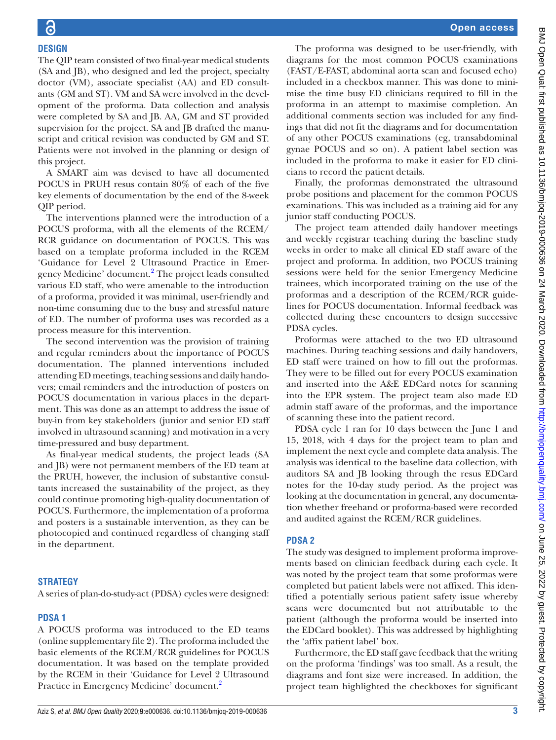#### Open access

# **Design**

The QIP team consisted of two final-year medical students (SA and JB), who designed and led the project, specialty doctor (VM), associate specialist (AA) and ED consultants (GM and ST). VM and SA were involved in the development of the proforma. Data collection and analysis were completed by SA and JB. AA, GM and ST provided supervision for the project. SA and JB drafted the manuscript and critical revision was conducted by GM and ST. Patients were not involved in the planning or design of this project.

A SMART aim was devised to have all documented POCUS in PRUH resus contain 80% of each of the five key elements of documentation by the end of the 8-week QIP period.

The interventions planned were the introduction of a POCUS proforma, with all the elements of the RCEM/ RCR guidance on documentation of POCUS. This was based on a template proforma included in the RCEM 'Guidance for Level 2 Ultrasound Practice in Emer-gency Medicine' document.<sup>[2](#page-5-1)</sup> The project leads consulted various ED staff, who were amenable to the introduction of a proforma, provided it was minimal, user-friendly and non-time consuming due to the busy and stressful nature of ED. The number of proforma uses was recorded as a process measure for this intervention.

The second intervention was the provision of training and regular reminders about the importance of POCUS documentation. The planned interventions included attending ED meetings, teaching sessions and daily handovers; email reminders and the introduction of posters on POCUS documentation in various places in the department. This was done as an attempt to address the issue of buy-in from key stakeholders (junior and senior ED staff involved in ultrasound scanning) and motivation in a very time-pressured and busy department.

As final-year medical students, the project leads (SA and JB) were not permanent members of the ED team at the PRUH, however, the inclusion of substantive consultants increased the sustainability of the project, as they could continue promoting high-quality documentation of POCUS. Furthermore, the implementation of a proforma and posters is a sustainable intervention, as they can be photocopied and continued regardless of changing staff in the department.

## **Strategy**

A series of plan-do-study-act (PDSA) cycles were designed:

#### **PDSA 1**

A POCUS proforma was introduced to the ED teams ([online supplementary file 2](https://dx.doi.org/10.1136/bmjoq-2019-000636)). The proforma included the basic elements of the RCEM/RCR guidelines for POCUS documentation. It was based on the template provided by the RCEM in their 'Guidance for Level 2 Ultrasound Practice in Emergency Medicine' document.<sup>2</sup>

The proforma was designed to be user-friendly, with diagrams for the most common POCUS examinations (FAST/E-FAST, abdominal aorta scan and focused echo) included in a checkbox manner. This was done to minimise the time busy ED clinicians required to fill in the proforma in an attempt to maximise completion. An additional comments section was included for any findings that did not fit the diagrams and for documentation of any other POCUS examinations (eg, transabdominal gynae POCUS and so on). A patient label section was included in the proforma to make it easier for ED clinicians to record the patient details.

Finally, the proformas demonstrated the ultrasound probe positions and placement for the common POCUS examinations. This was included as a training aid for any junior staff conducting POCUS.

The project team attended daily handover meetings and weekly registrar teaching during the baseline study weeks in order to make all clinical ED staff aware of the project and proforma. In addition, two POCUS training sessions were held for the senior Emergency Medicine trainees, which incorporated training on the use of the proformas and a description of the RCEM/RCR guidelines for POCUS documentation. Informal feedback was collected during these encounters to design successive PDSA cycles.

Proformas were attached to the two ED ultrasound machines. During teaching sessions and daily handovers, ED staff were trained on how to fill out the proformas. They were to be filled out for every POCUS examination and inserted into the A&E EDCard notes for scanning into the EPR system. The project team also made ED admin staff aware of the proformas, and the importance of scanning these into the patient record.

PDSA cycle 1 ran for 10 days between the June 1 and 15, 2018, with 4 days for the project team to plan and implement the next cycle and complete data analysis. The analysis was identical to the baseline data collection, with auditors SA and JB looking through the resus EDCard notes for the 10-day study period. As the project was looking at the documentation in general, any documentation whether freehand or proforma-based were recorded and audited against the RCEM/RCR guidelines.

## **PDSA 2**

The study was designed to implement proforma improvements based on clinician feedback during each cycle. It was noted by the project team that some proformas were completed but patient labels were not affixed. This identified a potentially serious patient safety issue whereby scans were documented but not attributable to the patient (although the proforma would be inserted into the EDCard booklet). This was addressed by highlighting the 'affix patient label' box.

Furthermore, the ED staff gave feedback that the writing on the proforma 'findings' was too small. As a result, the diagrams and font size were increased. In addition, the project team highlighted the checkboxes for significant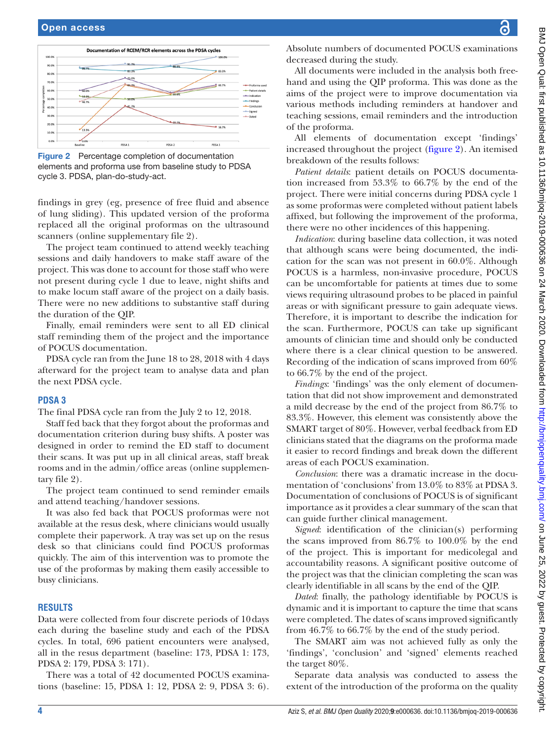

<span id="page-3-0"></span>Figure 2 Percentage completion of documentation elements and proforma use from baseline study to PDSA cycle 3. PDSA, plan-do-study-act.

findings in grey (eg, presence of free fluid and absence of lung sliding). This updated version of the proforma replaced all the original proformas on the ultrasound scanners [\(online supplementary file 2\)](https://dx.doi.org/10.1136/bmjoq-2019-000636).

The project team continued to attend weekly teaching sessions and daily handovers to make staff aware of the project. This was done to account for those staff who were not present during cycle 1 due to leave, night shifts and to make locum staff aware of the project on a daily basis. There were no new additions to substantive staff during the duration of the QIP.

Finally, email reminders were sent to all ED clinical staff reminding them of the project and the importance of POCUS documentation.

PDSA cycle ran from the June 18 to 28, 2018 with 4 days afterward for the project team to analyse data and plan the next PDSA cycle.

#### **PDSA 3**

The final PDSA cycle ran from the July 2 to 12, 2018.

Staff fed back that they forgot about the proformas and documentation criterion during busy shifts. A poster was designed in order to remind the ED staff to document their scans. It was put up in all clinical areas, staff break rooms and in the admin/office areas ([online supplemen](https://dx.doi.org/10.1136/bmjoq-2019-000636)[tary file 2](https://dx.doi.org/10.1136/bmjoq-2019-000636)).

The project team continued to send reminder emails and attend teaching/handover sessions.

It was also fed back that POCUS proformas were not available at the resus desk, where clinicians would usually complete their paperwork. A tray was set up on the resus desk so that clinicians could find POCUS proformas quickly. The aim of this intervention was to promote the use of the proformas by making them easily accessible to busy clinicians.

## **Results**

Data were collected from four discrete periods of 10days each during the baseline study and each of the PDSA cycles. In total, 696 patient encounters were analysed, all in the resus department (baseline: 173, PDSA 1: 173, PDSA 2: 179, PDSA 3: 171).

There was a total of 42 documented POCUS examinations (baseline: 15, PDSA 1: 12, PDSA 2: 9, PDSA 3: 6).

Absolute numbers of documented POCUS examinations decreased during the study.

All documents were included in the analysis both freehand and using the QIP proforma. This was done as the aims of the project were to improve documentation via various methods including reminders at handover and teaching sessions, email reminders and the introduction of the proforma.

All elements of documentation except 'findings' increased throughout the project [\(figure](#page-3-0) 2). An itemised breakdown of the results follows:

*Patient details*: patient details on POCUS documentation increased from 53.3% to 66.7% by the end of the project. There were initial concerns during PDSA cycle 1 as some proformas were completed without patient labels affixed, but following the improvement of the proforma, there were no other incidences of this happening.

*Indication*: during baseline data collection, it was noted that although scans were being documented, the indication for the scan was not present in 60.0%. Although POCUS is a harmless, non-invasive procedure, POCUS can be uncomfortable for patients at times due to some views requiring ultrasound probes to be placed in painful areas or with significant pressure to gain adequate views. Therefore, it is important to describe the indication for the scan. Furthermore, POCUS can take up significant amounts of clinician time and should only be conducted where there is a clear clinical question to be answered. Recording of the indication of scans improved from 60% to 66.7% by the end of the project.

*Findings*: 'findings' was the only element of documentation that did not show improvement and demonstrated a mild decrease by the end of the project from 86.7% to 83.3%. However, this element was consistently above the SMART target of 80%. However, verbal feedback from ED clinicians stated that the diagrams on the proforma made it easier to record findings and break down the different areas of each POCUS examination.

*Conclusion*: there was a dramatic increase in the documentation of 'conclusions' from 13.0% to 83% at PDSA 3. Documentation of conclusions of POCUS is of significant importance as it provides a clear summary of the scan that can guide further clinical management.

*Signed*: identification of the clinician(s) performing the scans improved from 86.7% to 100.0% by the end of the project. This is important for medicolegal and accountability reasons. A significant positive outcome of the project was that the clinician completing the scan was clearly identifiable in all scans by the end of the QIP.

*Dated*: finally, the pathology identifiable by POCUS is dynamic and it is important to capture the time that scans were completed. The dates of scans improved significantly from 46.7% to 66.7% by the end of the study period.

The SMART aim was not achieved fully as only the 'findings', 'conclusion' and 'signed' elements reached the target 80%.

Separate data analysis was conducted to assess the extent of the introduction of the proforma on the quality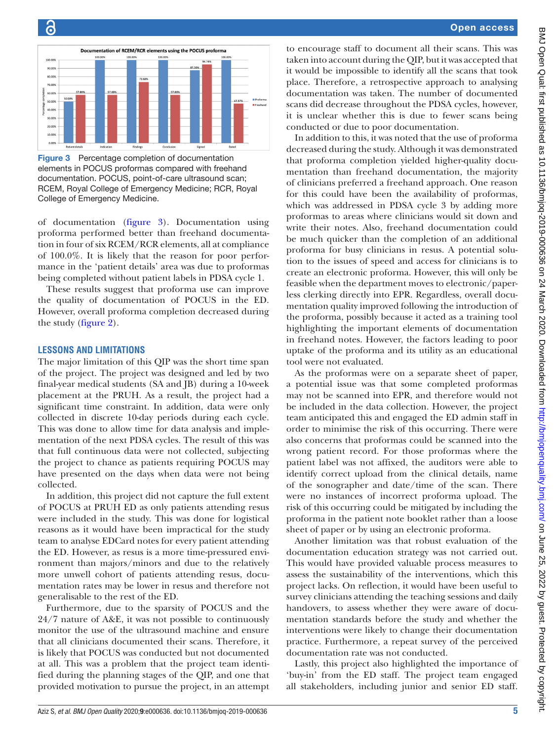

<span id="page-4-0"></span>Figure 3 Percentage completion of documentation elements in POCUS proformas compared with freehand documentation. POCUS, point-of-care ultrasound scan; RCEM, Royal College of Emergency Medicine; RCR, Royal College of Emergency Medicine.

of documentation ([figure](#page-4-0) 3). Documentation using proforma performed better than freehand documentation in four of six RCEM/RCR elements, all at compliance of 100.0%. It is likely that the reason for poor performance in the 'patient details' area was due to proformas being completed without patient labels in PDSA cycle 1.

These results suggest that proforma use can improve the quality of documentation of POCUS in the ED. However, overall proforma completion decreased during the study ([figure](#page-3-0) 2).

#### **Lessons and limitations**

The major limitation of this QIP was the short time span of the project. The project was designed and led by two final-year medical students (SA and JB) during a 10-week placement at the PRUH. As a result, the project had a significant time constraint. In addition, data were only collected in discrete 10-day periods during each cycle. This was done to allow time for data analysis and implementation of the next PDSA cycles. The result of this was that full continuous data were not collected, subjecting the project to chance as patients requiring POCUS may have presented on the days when data were not being collected.

In addition, this project did not capture the full extent of POCUS at PRUH ED as only patients attending resus were included in the study. This was done for logistical reasons as it would have been impractical for the study team to analyse EDCard notes for every patient attending the ED. However, as resus is a more time-pressured environment than majors/minors and due to the relatively more unwell cohort of patients attending resus, documentation rates may be lower in resus and therefore not generalisable to the rest of the ED.

Furthermore, due to the sparsity of POCUS and the 24/7 nature of A&E, it was not possible to continuously monitor the use of the ultrasound machine and ensure that all clinicians documented their scans. Therefore, it is likely that POCUS was conducted but not documented at all. This was a problem that the project team identified during the planning stages of the QIP, and one that provided motivation to pursue the project, in an attempt

to encourage staff to document all their scans. This was taken into account during the QIP, but it was accepted that it would be impossible to identify all the scans that took place. Therefore, a retrospective approach to analysing documentation was taken. The number of documented scans did decrease throughout the PDSA cycles, however, it is unclear whether this is due to fewer scans being conducted or due to poor documentation.

In addition to this, it was noted that the use of proforma decreased during the study. Although it was demonstrated that proforma completion yielded higher-quality documentation than freehand documentation, the majority of clinicians preferred a freehand approach. One reason for this could have been the availability of proformas, which was addressed in PDSA cycle 3 by adding more proformas to areas where clinicians would sit down and write their notes. Also, freehand documentation could be much quicker than the completion of an additional proforma for busy clinicians in resus. A potential solution to the issues of speed and access for clinicians is to create an electronic proforma. However, this will only be feasible when the department moves to electronic/paperless clerking directly into EPR. Regardless, overall documentation quality improved following the introduction of the proforma, possibly because it acted as a training tool highlighting the important elements of documentation in freehand notes. However, the factors leading to poor uptake of the proforma and its utility as an educational tool were not evaluated.

As the proformas were on a separate sheet of paper, a potential issue was that some completed proformas may not be scanned into EPR, and therefore would not be included in the data collection. However, the project team anticipated this and engaged the ED admin staff in order to minimise the risk of this occurring. There were also concerns that proformas could be scanned into the wrong patient record. For those proformas where the patient label was not affixed, the auditors were able to identify correct upload from the clinical details, name of the sonographer and date/time of the scan. There were no instances of incorrect proforma upload. The risk of this occurring could be mitigated by including the proforma in the patient note booklet rather than a loose sheet of paper or by using an electronic proforma.

Another limitation was that robust evaluation of the documentation education strategy was not carried out. This would have provided valuable process measures to assess the sustainability of the interventions, which this project lacks. On reflection, it would have been useful to survey clinicians attending the teaching sessions and daily handovers, to assess whether they were aware of documentation standards before the study and whether the interventions were likely to change their documentation practice. Furthermore, a repeat survey of the perceived documentation rate was not conducted.

Lastly, this project also highlighted the importance of 'buy-in' from the ED staff. The project team engaged all stakeholders, including junior and senior ED staff.